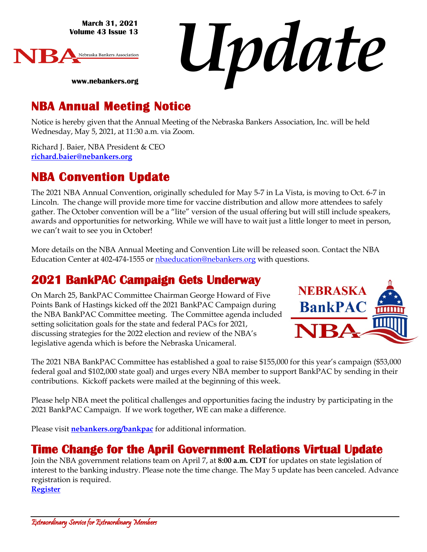**March 31, 2021 Volume 43 Issue 13**



*Update*

# **NBA Annual Meeting Notice**

**www.nebankers.org**

Notice is hereby given that the Annual Meeting of the Nebraska Bankers Association, Inc. will be held Wednesday, May 5, 2021, at 11:30 a.m. via Zoom.

Richard J. Baier, NBA President & CEO **[richard.baier@nebankers.org](mailto:richard.baier@nebankers.org)**

# **NBA Convention Update**

The 2021 NBA Annual Convention, originally scheduled for May 5-7 in La Vista, is moving to Oct. 6-7 in Lincoln. The change will provide more time for vaccine distribution and allow more attendees to safely gather. The October convention will be a "lite" version of the usual offering but will still include speakers, awards and opportunities for networking. While we will have to wait just a little longer to meet in person, we can't wait to see you in October!

More details on the NBA Annual Meeting and Convention Lite will be released soon. Contact the NBA Education Center at 402-474-1555 or [nbaeducation@nebankers.org](mailto:nbaeducation@nebankers.org) with questions.

# **2021 BankPAC Campaign Gets Underway**

On March 25, BankPAC Committee Chairman George Howard of Five Points Bank of Hastings kicked off the 2021 BankPAC Campaign during the NBA BankPAC Committee meeting. The Committee agenda included setting solicitation goals for the state and federal PACs for 2021, discussing strategies for the 2022 election and review of the NBA's legislative agenda which is before the Nebraska Unicameral.



The 2021 NBA BankPAC Committee has established a goal to raise \$155,000 for this year's campaign (\$53,000 federal goal and \$102,000 state goal) and urges every NBA member to support BankPAC by sending in their contributions. Kickoff packets were mailed at the beginning of this week.

Please help NBA meet the political challenges and opportunities facing the industry by participating in the 2021 BankPAC Campaign. If we work together, WE can make a difference.

Please visit **[nebankers.org/bankpac](https://www.nebankers.org/bankpac.html)** for additional information.

## **Time Change for the April Government Relations Virtual Update**

Join the NBA government relations team on April 7, at **8:00 a.m. CDT** for updates on state legislation of interest to the banking industry. Please note the time change. The May 5 update has been canceled. Advance registration is required.

**[Register](https://us02web.zoom.us/meeting/register/tZAudOqvrDwoG9e-DsebQj3vgkqCM1FdzFuR)**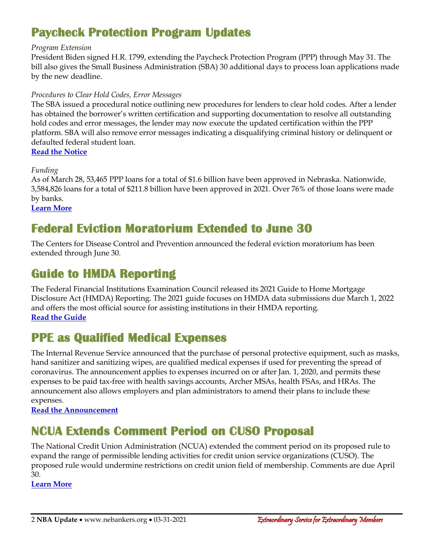# **Paycheck Protection Program Updates**

#### *Program Extension*

President Biden signed H.R. 1799, extending the Paycheck Protection Program (PPP) through May 31. The bill also gives the Small Business Administration (SBA) 30 additional days to process loan applications made by the new deadline.

#### *Procedures to Clear Hold Codes, Error Messages*

The SBA issued a procedural notice outlining new procedures for lenders to clear hold codes. After a lender has obtained the borrower's written certification and supporting documentation to resolve all outstanding hold codes and error messages, the lender may now execute the updated certification within the PPP platform. SBA will also remove error messages indicating a disqualifying criminal history or delinquent or defaulted federal student loan.

**[Read the Notice](https://www.sba.gov/sites/default/files/2021-03/Procedural%20Notice%205000-808216%20-%20Second%20Notice%20to%20Address%20Hold%20Codes%20for%20PPP%20Loans.pdf)**

*Funding*

As of March 28, 53,465 PPP loans for a total of \$1.6 billion have been approved in Nebraska. Nationwide, 3,584,826 loans for a total of \$211.8 billion have been approved in 2021. Over 76% of those loans were made by banks.

**[Learn More](https://www.sba.gov/sites/default/files/2021-03/PPP_Report_Public_210328-508.pdf)**

# **Federal Eviction Moratorium Extended to June 30**

The Centers for Disease Control and Prevention announced the federal eviction moratorium has been extended through June 30.

## **Guide to HMDA Reporting**

The Federal Financial Institutions Examination Council released its 2021 Guide to Home Mortgage Disclosure Act (HMDA) Reporting. The 2021 guide focuses on HMDA data submissions due March 1, 2022 and offers the most official source for assisting institutions in their HMDA reporting. **[Read the Guide](https://www.ffiec.gov/hmda/pdf/2021Guide.pdf)**

## **PPE as Qualified Medical Expenses**

The Internal Revenue Service announced that the purchase of personal protective equipment, such as masks, hand sanitizer and sanitizing wipes, are qualified medical expenses if used for preventing the spread of coronavirus. The announcement applies to expenses incurred on or after Jan. 1, 2020, and permits these expenses to be paid tax-free with health savings accounts, Archer MSAs, health FSAs, and HRAs. The announcement also allows employers and plan administrators to amend their plans to include these expenses.

**[Read the Announcement](https://www.irs.gov/pub/irs-drop/a-21-07.pdf)**

# **NCUA Extends Comment Period on CUSO Proposal**

The National Credit Union Administration (NCUA) extended the comment period on its proposed rule to expand the range of permissible lending activities for credit union service organizations (CUSO). The proposed rule would undermine restrictions on credit union field of membership. Comments are due April 30.

**[Learn More](https://secureamericanopportunity.com/take-action/comment-on-ncuas-proposed-credit-union-service-organizations-cusos-rule/)**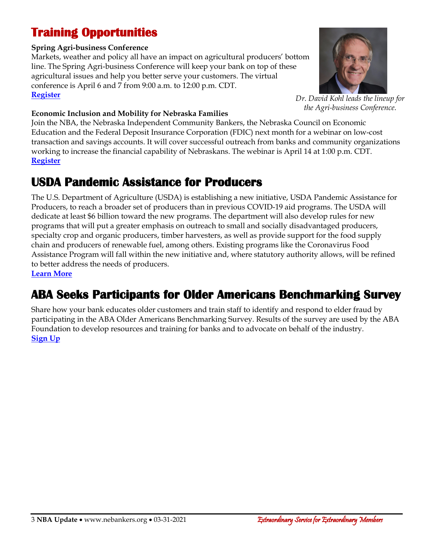# **Training Opportunities**

#### **Spring Agri-business Conference**

Markets, weather and policy all have an impact on agricultural producers' bottom line. The Spring Agri-business Conference will keep your bank on top of these agricultural issues and help you better serve your customers. The virtual conference is April 6 and 7 from 9:00 a.m. to 12:00 p.m. CDT. **[Register](https://web.nebankers.org/events/2021Spring%20Agribusiness%20Virtual%20Conference-11584/details)**



*Dr. David Kohl leads the lineup for the Agri-business Conference.*

#### **Economic Inclusion and Mobility for Nebraska Families**

Join the NBA, the Nebraska Independent Community Bankers, the Nebraska Council on Economic Education and the Federal Deposit Insurance Corporation (FDIC) next month for a webinar on low-cost transaction and savings accounts. It will cover successful outreach from banks and community organizations working to increase the financial capability of Nebraskans. The webinar is April 14 at 1:00 p.m. CDT. **[Register](https://web.cvent.com/event/ff617a4d-c9d9-431d-aeba-5c5d5b34448b/regProcessStep1)**

## **USDA Pandemic Assistance for Producers**

The U.S. Department of Agriculture (USDA) is establishing a new initiative, USDA Pandemic Assistance for Producers, to reach a broader set of producers than in previous COVID-19 aid programs. The USDA will dedicate at least \$6 billion toward the new programs. The department will also develop rules for new programs that will put a greater emphasis on outreach to small and socially disadvantaged producers, specialty crop and organic producers, timber harvesters, as well as provide support for the food supply chain and producers of renewable fuel, among others. Existing programs like the Coronavirus Food Assistance Program will fall within the new initiative and, where statutory authority allows, will be refined to better address the needs of producers. **[Learn More](https://www.fsa.usda.gov/news-room/news-releases/2021/after-identifying-gaps-in-previous-aid-usda-announces-pandemic-assistance-for-producers-to-distribute-resources-more-equitably)**

# **ABA Seeks Participants for Older Americans Benchmarking Survey**

Share how your bank educates older customers and train staff to identify and respond to elder fraud by participating in the ABA Older Americans Benchmarking Survey. Results of the survey are used by the ABA Foundation to develop resources and training for banks and to advocate on behalf of the industry. **[Sign Up](https://www.aba.com/news-research/research-analysis/2021/03/12/17/18/2021-older-americans-survey-interest-form)**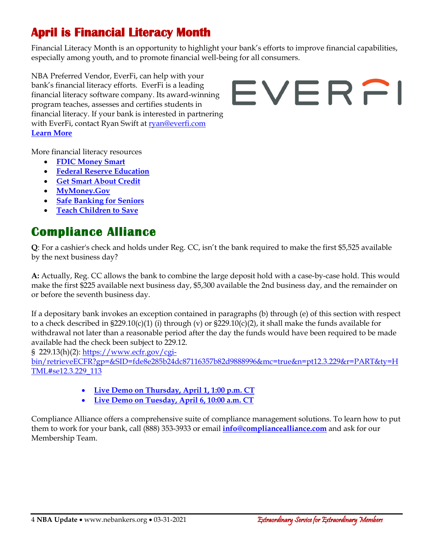# **April is Financial Literacy Month**

Financial Literacy Month is an opportunity to highlight your bank's efforts to improve financial capabilities, especially among youth, and to promote financial well-being for all consumers.

NBA Preferred Vendor, EverFi, can help with your bank's financial literacy efforts. EverFi is a leading financial literacy software company. Its award-winning program teaches, assesses and certifies students in financial literacy. If your bank is interested in partnering with EverFi, contact Ryan Swift at [ryan@everfi.com](mailto:ryan@everfi.com) **[Learn More](https://everfi.com/financial-education/)**

# EVERFI

More financial literacy resources

- **[FDIC Money Smart](https://www.fdic.gov/resources/consumers/money-smart/index.html)**
- **[Federal Reserve Education](https://www.federalreserveeducation.org/)**
- **[Get Smart About Credit](https://www.aba.com/advocacy/community-programs/get-smart-about-credit)**
- **[MyMoney.Gov](https://www.mymoney.gov/Pages/default.aspx)**
- **[Safe Banking for Seniors](https://www.aba.com/advocacy/community-programs/safe-banking-for-seniors)**
- **[Teach Children to Save](https://www.aba.com/advocacy/community-programs/teach-children-save)**

# **Compliance Alliance**

**Q**: For a cashier's check and holds under Reg. CC, isn't the bank required to make the first \$5,525 available by the next business day?

**A:** Actually, Reg. CC allows the bank to combine the large deposit hold with a case-by-case hold. This would make the first \$225 available next business day, \$5,300 available the 2nd business day, and the remainder on or before the seventh business day.

If a depositary bank invokes an exception contained in paragraphs (b) through (e) of this section with respect to a check described in  $\S 229.10(c)(1)$  (i) through (v) or  $\S 229.10(c)(2)$ , it shall make the funds available for withdrawal not later than a reasonable period after the day the funds would have been required to be made available had the check been subject to 229.12.

§ 229.13(h)(2): [https://www.ecfr.gov/cgi-](https://www.ecfr.gov/cgi-bin/retrieveECFR?gp=&SID=fde8e285b24dc87116357b82d9888996&mc=true&n=pt12.3.229&r=PART&ty=HTML#se12.3.229_113)

[bin/retrieveECFR?gp=&SID=fde8e285b24dc87116357b82d9888996&mc=true&n=pt12.3.229&r=PART&ty=H](https://www.ecfr.gov/cgi-bin/retrieveECFR?gp=&SID=fde8e285b24dc87116357b82d9888996&mc=true&n=pt12.3.229&r=PART&ty=HTML#se12.3.229_113) [TML#se12.3.229\\_113](https://www.ecfr.gov/cgi-bin/retrieveECFR?gp=&SID=fde8e285b24dc87116357b82d9888996&mc=true&n=pt12.3.229&r=PART&ty=HTML#se12.3.229_113)

- **[Live Demo on Thursday, April 1, 1:00 p.m. CT](https://compliancealliance.com/news-events/event/live-membership-demo-04-01-2021)**
- **[Live Demo on Tuesday,](https://compliancealliance.com/news-events/event/live-membership-demo-04-06-2021) April 6, 10:00 a.m. CT**

Compliance Alliance offers a comprehensive suite of compliance management solutions. To learn how to put them to work for your bank, call (888) 353-3933 or email **[info@compliancealliance.com](mailto:info@compliancealliance.com)** and ask for our Membership Team.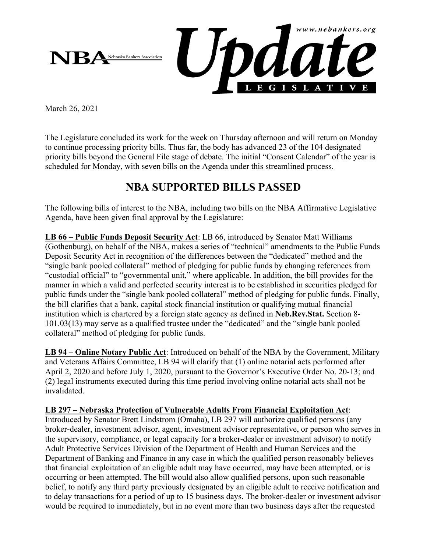

March 26, 2021

The Legislature concluded its work for the week on Thursday afternoon and will return on Monday to continue processing priority bills. Thus far, the body has advanced 23 of the 104 designated priority bills beyond the General File stage of debate. The initial "Consent Calendar" of the year is scheduled for Monday, with seven bills on the Agenda under this streamlined process.

## **NBA SUPPORTED BILLS PASSED**

The following bills of interest to the NBA, including two bills on the NBA Affirmative Legislative Agenda, have been given final approval by the Legislature:

**LB 66 – Public Funds Deposit Security Act**: LB 66, introduced by Senator Matt Williams (Gothenburg), on behalf of the NBA, makes a series of "technical" amendments to the Public Funds Deposit Security Act in recognition of the differences between the "dedicated" method and the "single bank pooled collateral" method of pledging for public funds by changing references from "custodial official" to "governmental unit," where applicable. In addition, the bill provides for the manner in which a valid and perfected security interest is to be established in securities pledged for public funds under the "single bank pooled collateral" method of pledging for public funds. Finally, the bill clarifies that a bank, capital stock financial institution or qualifying mutual financial institution which is chartered by a foreign state agency as defined in **Neb.Rev.Stat.** Section 8- 101.03(13) may serve as a qualified trustee under the "dedicated" and the "single bank pooled collateral" method of pledging for public funds.

**LB 94 – Online Notary Public Act**: Introduced on behalf of the NBA by the Government, Military and Veterans Affairs Committee, LB 94 will clarify that (1) online notarial acts performed after April 2, 2020 and before July 1, 2020, pursuant to the Governor's Executive Order No. 20-13; and (2) legal instruments executed during this time period involving online notarial acts shall not be invalidated.

#### **LB 297 – Nebraska Protection of Vulnerable Adults From Financial Exploitation Act**:

Introduced by Senator Brett Lindstrom (Omaha), LB 297 will authorize qualified persons (any broker-dealer, investment advisor, agent, investment advisor representative, or person who serves in the supervisory, compliance, or legal capacity for a broker-dealer or investment advisor) to notify Adult Protective Services Division of the Department of Health and Human Services and the Department of Banking and Finance in any case in which the qualified person reasonably believes that financial exploitation of an eligible adult may have occurred, may have been attempted, or is occurring or been attempted. The bill would also allow qualified persons, upon such reasonable belief, to notify any third party previously designated by an eligible adult to receive notification and to delay transactions for a period of up to 15 business days. The broker-dealer or investment advisor would be required to immediately, but in no event more than two business days after the requested